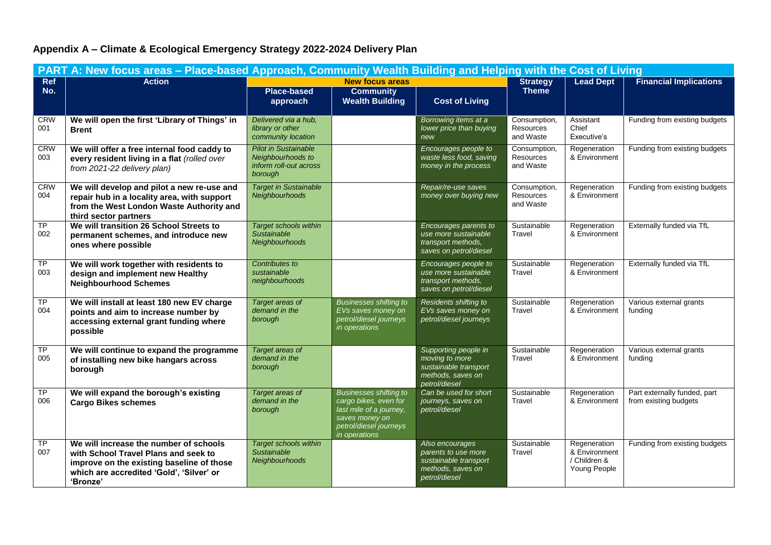## **Appendix A – Climate & Ecological Emergency Strategy 2022-2024 Delivery Plan**

| PART A: New focus areas - Place-based Approach, Community Wealth Building and Helping with the Cost of Living |                                                                                                                                                                                     |                                                                                       |                                                                                                                                                |                                                                                                       |                                               |                                                               |                                                       |
|---------------------------------------------------------------------------------------------------------------|-------------------------------------------------------------------------------------------------------------------------------------------------------------------------------------|---------------------------------------------------------------------------------------|------------------------------------------------------------------------------------------------------------------------------------------------|-------------------------------------------------------------------------------------------------------|-----------------------------------------------|---------------------------------------------------------------|-------------------------------------------------------|
| Ref                                                                                                           | <b>Action</b>                                                                                                                                                                       | <b>New focus areas</b>                                                                |                                                                                                                                                | <b>Strategy</b>                                                                                       | <b>Lead Dept</b>                              | <b>Financial Implications</b>                                 |                                                       |
| No.                                                                                                           |                                                                                                                                                                                     | <b>Place-based</b><br>approach                                                        | <b>Community</b><br><b>Wealth Building</b>                                                                                                     | <b>Cost of Living</b>                                                                                 | <b>Theme</b>                                  |                                                               |                                                       |
| <b>CRW</b><br>001                                                                                             | We will open the first 'Library of Things' in<br><b>Brent</b>                                                                                                                       | Delivered via a hub,<br>library or other<br>community location                        |                                                                                                                                                | Borrowing items at a<br>lower price than buying<br>new                                                | Consumption,<br>Resources<br>and Waste        | Assistant<br>Chief<br>Executive's                             | Funding from existing budgets                         |
| <b>CRW</b><br>003                                                                                             | We will offer a free internal food caddy to<br>every resident living in a flat (rolled over<br>from 2021-22 delivery plan)                                                          | <b>Pilot in Sustainable</b><br>Neighbourhoods to<br>inform roll-out across<br>borough |                                                                                                                                                | Encourages people to<br>waste less food, saving<br>money in the process                               | Consumption,<br>Resources<br>and Waste        | Regeneration<br>& Environment                                 | Funding from existing budgets                         |
| <b>CRW</b><br>004                                                                                             | We will develop and pilot a new re-use and<br>repair hub in a locality area, with support<br>from the West London Waste Authority and<br>third sector partners                      | <b>Target in Sustainable</b><br>Neighbourhoods                                        |                                                                                                                                                | Repair/re-use saves<br>money over buying new                                                          | Consumption,<br><b>Resources</b><br>and Waste | Regeneration<br>& Environment                                 | Funding from existing budgets                         |
| <b>TP</b><br>002                                                                                              | We will transition 26 School Streets to<br>permanent schemes, and introduce new<br>ones where possible                                                                              | <b>Target schools within</b><br><b>Sustainable</b><br>Neighbourhoods                  |                                                                                                                                                | Encourages parents to<br>use more sustainable<br>transport methods,<br>saves on petrol/diesel         | Sustainable<br>Travel                         | Regeneration<br>& Environment                                 | Externally funded via TfL                             |
| TP<br>003                                                                                                     | We will work together with residents to<br>design and implement new Healthy<br><b>Neighbourhood Schemes</b>                                                                         | Contributes to<br>sustainable<br>neighbourhoods                                       |                                                                                                                                                | Encourages people to<br>use more sustainable<br>transport methods,<br>saves on petrol/diesel          | Sustainable<br>Travel                         | Regeneration<br>& Environment                                 | Externally funded via TfL                             |
| <b>TP</b><br>004                                                                                              | We will install at least 180 new EV charge<br>points and aim to increase number by<br>accessing external grant funding where<br>possible                                            | Target areas of<br>demand in the<br>borough                                           | <b>Businesses shifting to</b><br>EVs saves money on<br>petrol/diesel journeys<br>in operations                                                 | Residents shifting to<br>EVs saves money on<br>petrol/diesel journeys                                 | Sustainable<br>Travel                         | Regeneration<br>& Environment                                 | Various external grants<br>funding                    |
| TP<br>005                                                                                                     | We will continue to expand the programme<br>of installing new bike hangars across<br>borough                                                                                        | Target areas of<br>demand in the<br>borough                                           |                                                                                                                                                | Supporting people in<br>moving to more<br>sustainable transport<br>methods, saves on<br>petrol/diesel | Sustainable<br>Travel                         | Regeneration<br>& Environment                                 | Various external grants<br>funding                    |
| <b>TP</b><br>006                                                                                              | We will expand the borough's existing<br><b>Cargo Bikes schemes</b>                                                                                                                 | Target areas of<br>demand in the<br>borough                                           | <b>Businesses shifting to</b><br>cargo bikes, even for<br>last mile of a journey,<br>saves money on<br>petrol/diesel journeys<br>in operations | Can be used for short<br>journeys, saves on<br>petrol/diesel                                          | Sustainable<br>Travel                         | Regeneration<br>& Environment                                 | Part externally funded, part<br>from existing budgets |
| TP<br>007                                                                                                     | We will increase the number of schools<br>with School Travel Plans and seek to<br>improve on the existing baseline of those<br>which are accredited 'Gold', 'Silver' or<br>'Bronze' | <b>Target schools within</b><br>Sustainable<br>Neighbourhoods                         |                                                                                                                                                | Also encourages<br>parents to use more<br>sustainable transport<br>methods, saves on<br>petrol/diesel | Sustainable<br>Travel                         | Regeneration<br>& Environment<br>/ Children &<br>Young People | Funding from existing budgets                         |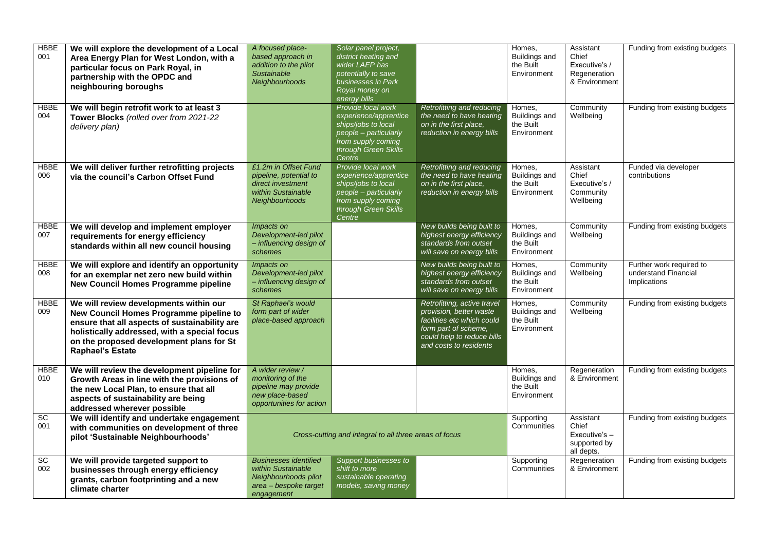| <b>HBBE</b><br>001 | We will explore the development of a Local<br>Area Energy Plan for West London, with a<br>particular focus on Park Royal, in<br>partnership with the OPDC and<br>neighbouring boroughs                                                                    | A focused place-<br>based approach in<br>addition to the pilot<br><b>Sustainable</b><br>Neighbourhoods            | Solar panel project,<br>district heating and<br>wider LAEP has<br>potentially to save<br>businesses in Park<br>Royal money on<br>energy bills       |                                                                                                                                                                      | Homes,<br>Buildings and<br>the Built<br>Environment                 | Assistant<br>Chief<br>Executive's /<br>Regeneration<br>& Environment | Funding from existing budgets                                    |
|--------------------|-----------------------------------------------------------------------------------------------------------------------------------------------------------------------------------------------------------------------------------------------------------|-------------------------------------------------------------------------------------------------------------------|-----------------------------------------------------------------------------------------------------------------------------------------------------|----------------------------------------------------------------------------------------------------------------------------------------------------------------------|---------------------------------------------------------------------|----------------------------------------------------------------------|------------------------------------------------------------------|
| <b>HBBE</b><br>004 | We will begin retrofit work to at least 3<br>Tower Blocks (rolled over from 2021-22<br>delivery plan)                                                                                                                                                     |                                                                                                                   | Provide local work<br>experience/apprentice<br>ships/jobs to local<br>people - particularly<br>from supply coming<br>through Green Skills<br>Centre | Retrofitting and reducing<br>the need to have heating<br>on in the first place,<br>reduction in energy bills                                                         | Homes,<br><b>Buildings and</b><br>the Built<br>Environment          | Community<br>Wellbeing                                               | Funding from existing budgets                                    |
| <b>HBBE</b><br>006 | We will deliver further retrofitting projects<br>via the council's Carbon Offset Fund                                                                                                                                                                     | £1.2m in Offset Fund<br>pipeline, potential to<br>direct investment<br>within Sustainable<br>Neighbourhoods       | Provide local work<br>experience/apprentice<br>ships/jobs to local<br>people - particularly<br>from supply coming<br>through Green Skills<br>Centre | Retrofitting and reducing<br>the need to have heating<br>on in the first place,<br>reduction in energy bills                                                         | Homes,<br>Buildings and<br>the Built<br>Environment                 | Assistant<br>Chief<br>Executive's /<br>Community<br>Wellbeing        | Funded via developer<br>contributions                            |
| <b>HBBE</b><br>007 | We will develop and implement employer<br>requirements for energy efficiency<br>standards within all new council housing                                                                                                                                  | Impacts on<br>Development-led pilot<br>- influencing design of<br>schemes                                         |                                                                                                                                                     | New builds being built to<br>highest energy efficiency<br>standards from outset<br>will save on energy bills                                                         | Homes.<br><b>Buildings and</b><br>the Built<br>Environment          | Community<br>Wellbeing                                               | Funding from existing budgets                                    |
| <b>HBBE</b><br>008 | We will explore and identify an opportunity<br>for an exemplar net zero new build within<br>New Council Homes Programme pipeline                                                                                                                          | Impacts on<br>Development-led pilot<br>- influencing design of<br>schemes                                         |                                                                                                                                                     | New builds being built to<br>highest energy efficiency<br>standards from outset<br>will save on energy bills                                                         | Homes,<br>Buildings and<br>the Built<br>Environment                 | Community<br>Wellbeing                                               | Further work required to<br>understand Financial<br>Implications |
| <b>HBBE</b><br>009 | We will review developments within our<br>New Council Homes Programme pipeline to<br>ensure that all aspects of sustainability are<br>holistically addressed, with a special focus<br>on the proposed development plans for St<br><b>Raphael's Estate</b> | St Raphael's would<br>form part of wider<br>place-based approach                                                  |                                                                                                                                                     | Retrofitting, active travel<br>provision, better waste<br>facilities etc which could<br>form part of scheme.<br>could help to reduce bills<br>and costs to residents | Homes,<br>Buildings and<br>the Built<br>Environment                 | Community<br>Wellbeing                                               | Funding from existing budgets                                    |
| <b>HBBE</b><br>010 | We will review the development pipeline for<br>Growth Areas in line with the provisions of<br>the new Local Plan, to ensure that all<br>aspects of sustainability are being<br>addressed wherever possible                                                | A wider review /<br>monitoring of the<br>pipeline may provide<br>new place-based<br>opportunities for action      |                                                                                                                                                     |                                                                                                                                                                      | Homes.<br>Buildings and<br>the Built<br>Environment                 | Regeneration<br>& Environment                                        | Funding from existing budgets                                    |
| SC<br>001          | We will identify and undertake engagement<br>with communities on development of three<br>pilot 'Sustainable Neighbourhoods'                                                                                                                               | Cross-cutting and integral to all three areas of focus                                                            |                                                                                                                                                     | Supporting<br>Communities                                                                                                                                            | Assistant<br>Chief<br>$Executive's -$<br>supported by<br>all depts. | Funding from existing budgets                                        |                                                                  |
| SC<br>002          | We will provide targeted support to<br>businesses through energy efficiency<br>grants, carbon footprinting and a new<br>climate charter                                                                                                                   | <b>Businesses identified</b><br>within Sustainable<br>Neighbourhoods pilot<br>area - bespoke target<br>engagement | Support businesses to<br>shift to more<br>sustainable operating<br>models, saving money                                                             |                                                                                                                                                                      | Supporting<br>Communities                                           | Regeneration<br>& Environment                                        | Funding from existing budgets                                    |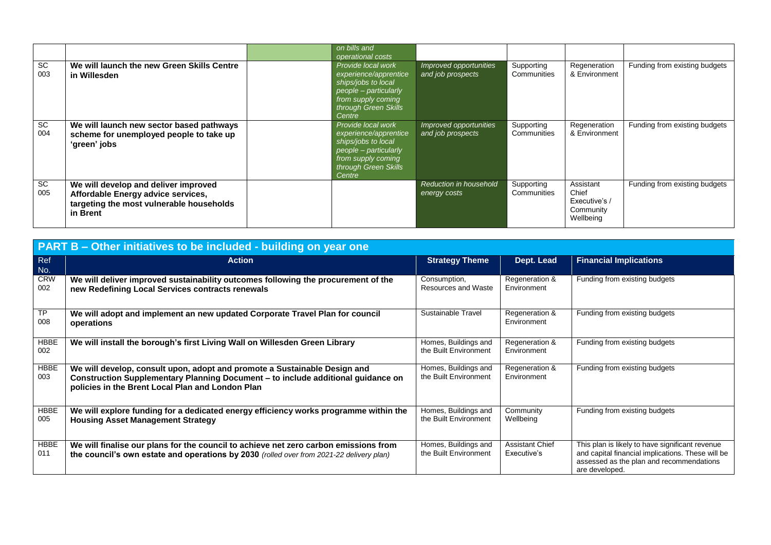|           |                                                                                                                                    | on bills and<br>operational costs                                                                                                                   |                                             |                           |                                                               |                               |
|-----------|------------------------------------------------------------------------------------------------------------------------------------|-----------------------------------------------------------------------------------------------------------------------------------------------------|---------------------------------------------|---------------------------|---------------------------------------------------------------|-------------------------------|
| SC<br>003 | We will launch the new Green Skills Centre<br>in Willesden                                                                         | Provide local work<br>experience/apprentice<br>ships/jobs to local<br>people - particularly<br>from supply coming<br>through Green Skills<br>Centre | Improved opportunities<br>and job prospects | Supporting<br>Communities | Regeneration<br>& Environment                                 | Funding from existing budgets |
| SC<br>004 | We will launch new sector based pathways<br>scheme for unemployed people to take up<br>'green' jobs                                | Provide local work<br>experience/apprentice<br>ships/jobs to local<br>people - particularly<br>from supply coming<br>through Green Skills<br>Centre | Improved opportunities<br>and job prospects | Supporting<br>Communities | Regeneration<br>& Environment                                 | Funding from existing budgets |
| SC<br>005 | We will develop and deliver improved<br>Affordable Energy advice services,<br>targeting the most vulnerable households<br>in Brent |                                                                                                                                                     | Reduction in household<br>energy costs      | Supporting<br>Communities | Assistant<br>Chief<br>Executive's /<br>Community<br>Wellbeing | Funding from existing budgets |

|                    | PART B - Other initiatives to be included - building on year one                                                                                                                                                  |                                               |                                       |                                                                                                                                                                    |  |  |  |  |
|--------------------|-------------------------------------------------------------------------------------------------------------------------------------------------------------------------------------------------------------------|-----------------------------------------------|---------------------------------------|--------------------------------------------------------------------------------------------------------------------------------------------------------------------|--|--|--|--|
| Ref<br>No.         | <b>Action</b>                                                                                                                                                                                                     | <b>Strategy Theme</b>                         | Dept. Lead                            | <b>Financial Implications</b>                                                                                                                                      |  |  |  |  |
| <b>CRW</b><br>002  | We will deliver improved sustainability outcomes following the procurement of the<br>new Redefining Local Services contracts renewals                                                                             | Consumption,<br>Resources and Waste           | Regeneration &<br>Environment         | Funding from existing budgets                                                                                                                                      |  |  |  |  |
| ТP<br>008          | We will adopt and implement an new updated Corporate Travel Plan for council<br>operations                                                                                                                        | Sustainable Travel                            | Regeneration &<br>Environment         | Funding from existing budgets                                                                                                                                      |  |  |  |  |
| HBBE<br>002        | We will install the borough's first Living Wall on Willesden Green Library                                                                                                                                        | Homes, Buildings and<br>the Built Environment | Regeneration &<br>Environment         | Funding from existing budgets                                                                                                                                      |  |  |  |  |
| <b>HBBE</b><br>003 | We will develop, consult upon, adopt and promote a Sustainable Design and<br>Construction Supplementary Planning Document - to include additional guidance on<br>policies in the Brent Local Plan and London Plan | Homes, Buildings and<br>the Built Environment | Regeneration &<br>Environment         | Funding from existing budgets                                                                                                                                      |  |  |  |  |
| <b>HBBE</b><br>005 | We will explore funding for a dedicated energy efficiency works programme within the<br><b>Housing Asset Management Strategy</b>                                                                                  | Homes, Buildings and<br>the Built Environment | Community<br>Wellbeing                | Funding from existing budgets                                                                                                                                      |  |  |  |  |
| HBBE<br>011        | We will finalise our plans for the council to achieve net zero carbon emissions from<br>the council's own estate and operations by 2030 (rolled over from 2021-22 delivery plan)                                  | Homes, Buildings and<br>the Built Environment | <b>Assistant Chief</b><br>Executive's | This plan is likely to have significant revenue<br>and capital financial implications. These will be<br>assessed as the plan and recommendations<br>are developed. |  |  |  |  |